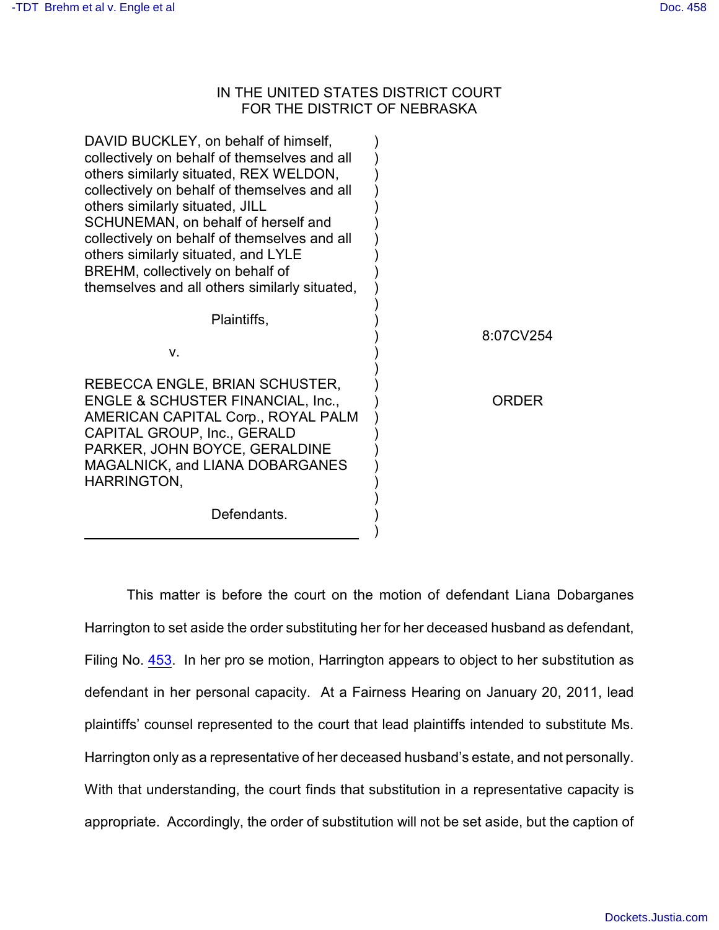## IN THE UNITED STATES DISTRICT COURT FOR THE DISTRICT OF NEBRASKA

| DAVID BUCKLEY, on behalf of himself,<br>collectively on behalf of themselves and all<br>others similarly situated, REX WELDON,<br>collectively on behalf of themselves and all<br>others similarly situated, JILL<br>SCHUNEMAN, on behalf of herself and<br>collectively on behalf of themselves and all<br>others similarly situated, and LYLE<br>BREHM, collectively on behalf of<br>themselves and all others similarly situated, |           |
|--------------------------------------------------------------------------------------------------------------------------------------------------------------------------------------------------------------------------------------------------------------------------------------------------------------------------------------------------------------------------------------------------------------------------------------|-----------|
| Plaintiffs,                                                                                                                                                                                                                                                                                                                                                                                                                          | 8:07CV254 |
| v.                                                                                                                                                                                                                                                                                                                                                                                                                                   |           |
| REBECCA ENGLE, BRIAN SCHUSTER,<br><b>ENGLE &amp; SCHUSTER FINANCIAL, Inc.,</b><br>AMERICAN CAPITAL Corp., ROYAL PALM<br>CAPITAL GROUP, Inc., GERALD<br>PARKER, JOHN BOYCE, GERALDINE<br>MAGALNICK, and LIANA DOBARGANES<br>HARRINGTON,                                                                                                                                                                                               | ORDFR     |
| Defendants.                                                                                                                                                                                                                                                                                                                                                                                                                          |           |

This matter is before the court on the motion of defendant Liana Dobarganes Harrington to set aside the order substituting her for her deceased husband as defendant, Filing No. [453](http://ecf.ned.uscourts.gov/doc1/11302172110). In her pro se motion, Harrington appears to object to her substitution as defendant in her personal capacity. At a Fairness Hearing on January 20, 2011, lead plaintiffs' counsel represented to the court that lead plaintiffs intended to substitute Ms. Harrington only as a representative of her deceased husband's estate, and not personally. With that understanding, the court finds that substitution in a representative capacity is appropriate. Accordingly, the order of substitution will not be set aside, but the caption of

)